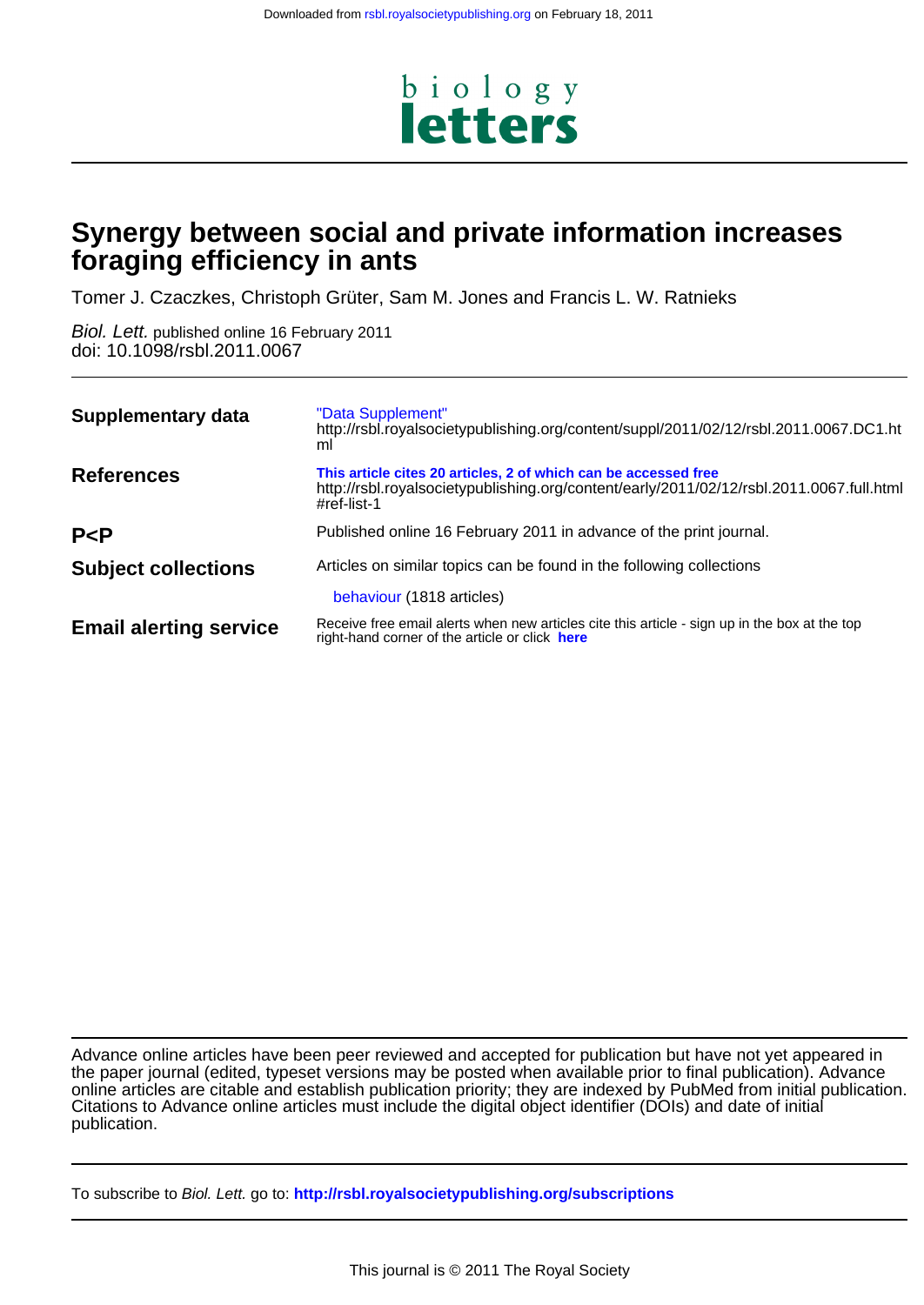

# **foraging efficiency in ants Synergy between social and private information increases**

Tomer J. Czaczkes, Christoph Grüter, Sam M. Jones and Francis L. W. Ratnieks

doi: 10.1098/rsbl.2011.0067 Biol. Lett. published online 16 February 2011

| <b>Supplementary data</b>     | "Data Supplement"<br>http://rsbl.royalsocietypublishing.org/content/suppl/2011/02/12/rsbl.2011.0067.DC1.ht<br>ml                                                           |
|-------------------------------|----------------------------------------------------------------------------------------------------------------------------------------------------------------------------|
| <b>References</b>             | This article cites 20 articles, 2 of which can be accessed free<br>http://rsbl.royalsocietypublishing.org/content/early/2011/02/12/rsbl.2011.0067.full.html<br>#ref-list-1 |
| P < P                         | Published online 16 February 2011 in advance of the print journal.                                                                                                         |
| <b>Subject collections</b>    | Articles on similar topics can be found in the following collections                                                                                                       |
|                               | behaviour (1818 articles)                                                                                                                                                  |
| <b>Email alerting service</b> | Receive free email alerts when new articles cite this article - sign up in the box at the top<br>right-hand corner of the article or click here                            |

publication. Citations to Advance online articles must include the digital object identifier (DOIs) and date of initial online articles are citable and establish publication priority; they are indexed by PubMed from initial publication. the paper journal (edited, typeset versions may be posted when available prior to final publication). Advance Advance online articles have been peer reviewed and accepted for publication but have not yet appeared in

To subscribe to Biol. Lett. go to: **<http://rsbl.royalsocietypublishing.org/subscriptions>**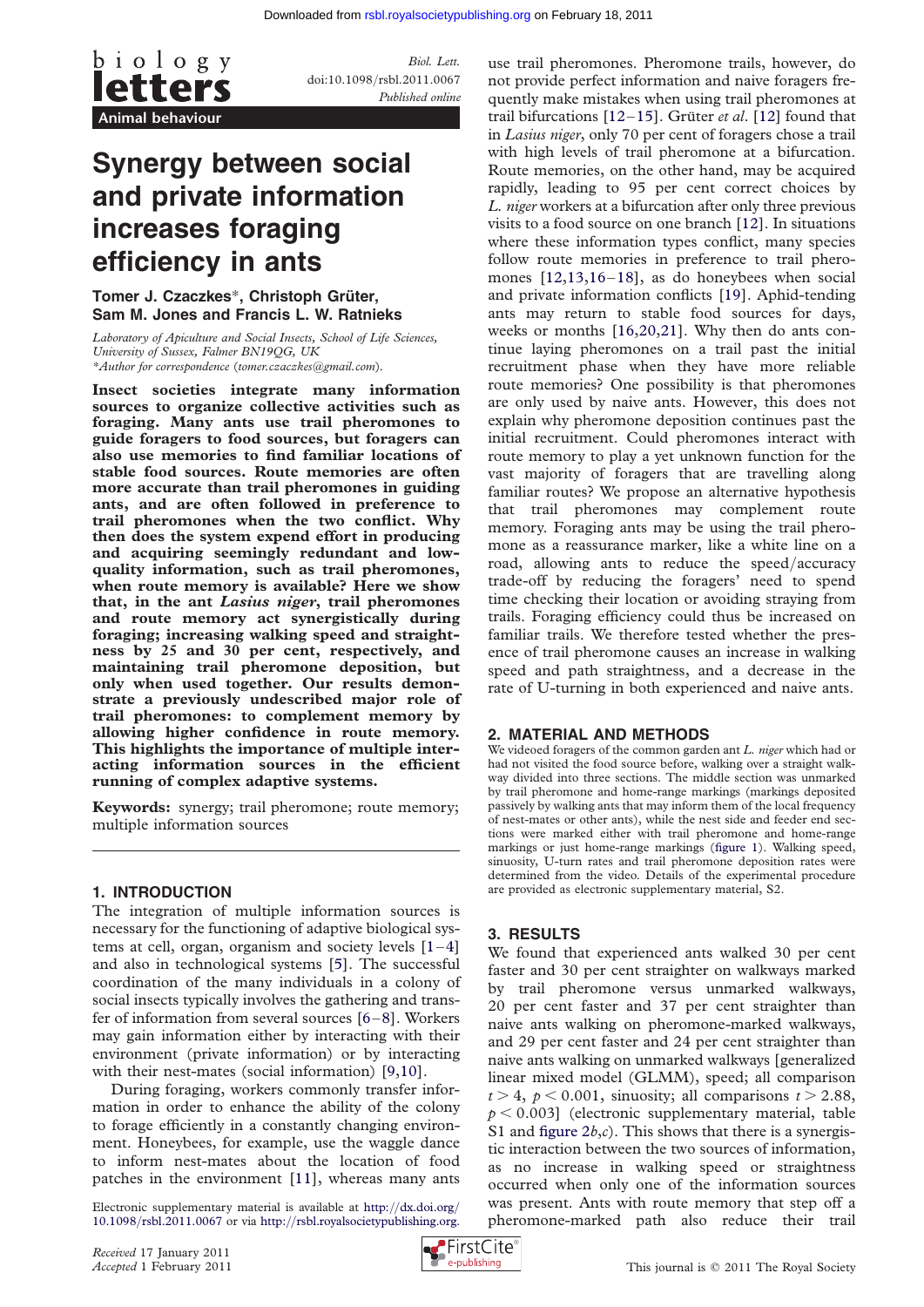

Biol. Lett. doi:10.1098/rsbl.2011.0067 Published online

# Synergy between social and private information increases foraging efficiency in ants

## Tomer J. Czaczkes\*, Christoph Grüter, Sam M. Jones and Francis L. W. Ratnieks

Laboratory of Apiculture and Social Insects, School of Life Sciences, University of Sussex, Falmer BN19QG, UK \*Author for correspondence ([tomer.czaczkes@gmail.com](mailto:tomer.czaczkes@gmail.com)).

Insect societies integrate many information sources to organize collective activities such as foraging. Many ants use trail pheromones to guide foragers to food sources, but foragers can also use memories to find familiar locations of stable food sources. Route memories are often more accurate than trail pheromones in guiding ants, and are often followed in preference to trail pheromones when the two conflict. Why then does the system expend effort in producing and acquiring seemingly redundant and lowquality information, such as trail pheromones, when route memory is available? Here we show that, in the ant Lasius niger, trail pheromones and route memory act synergistically during foraging; increasing walking speed and straightness by 25 and 30 per cent, respectively, and maintaining trail pheromone deposition, but only when used together. Our results demonstrate a previously undescribed major role of trail pheromones: to complement memory by allowing higher confidence in route memory. This highlights the importance of multiple interacting information sources in the efficient running of complex adaptive systems.

Keywords: synergy; trail pheromone; route memory; multiple information sources

#### 1. INTRODUCTION

The integration of multiple information sources is necessary for the functioning of adaptive biological systems at cell, organ, organism and society levels  $[1-4]$  $[1-4]$  $[1-4]$  $[1-4]$ and also in technological systems [\[5\]](#page-3-0). The successful coordination of the many individuals in a colony of social insects typically involves the gathering and transfer of information from several sources [\[6](#page-3-0)–[8\]](#page-3-0). Workers may gain information either by interacting with their environment (private information) or by interacting with their nest-mates (social information) [\[9,10\]](#page-3-0).

During foraging, workers commonly transfer information in order to enhance the ability of the colony to forage efficiently in a constantly changing environment. Honeybees, for example, use the waggle dance to inform nest-mates about the location of food patches in the environment [[11](#page-3-0)], whereas many ants

Electronic supplementary material is available at [http:](http://dx.doi.org/10.1098/rsbl.2011.0067)//[dx.doi.org](http://dx.doi.org/10.1098/rsbl.2011.0067)/ 10.1098/[rsbl.2011.0067](http://dx.doi.org/10.1098/rsbl.2011.0067) or via [http:](http://rsbl.royalsocietypublishing.org)//[rsbl.royalsocietypublishing.org](http://rsbl.royalsocietypublishing.org).

use trail pheromones. Pheromone trails, however, do not provide perfect information and naive foragers frequently make mistakes when using trail pheromones at trail bifurcations  $[12–15]$  $[12–15]$  $[12–15]$  $[12–15]$ . Grüter *et al.*  $[12]$  $[12]$  found that in Lasius niger, only 70 per cent of foragers chose a trail with high levels of trail pheromone at a bifurcation. Route memories, on the other hand, may be acquired rapidly, leading to 95 per cent correct choices by L. niger workers at a bifurcation after only three previous visits to a food source on one branch [[12\]](#page-3-0). In situations where these information types conflict, many species follow route memories in preference to trail pheromones [\[12,13,16](#page-3-0)–[18\]](#page-4-0), as do honeybees when social and private information conflicts [[19\]](#page-4-0). Aphid-tending ants may return to stable food sources for days, weeks or months [[16,](#page-3-0)[20,21\]](#page-4-0). Why then do ants continue laying pheromones on a trail past the initial recruitment phase when they have more reliable route memories? One possibility is that pheromones are only used by naive ants. However, this does not explain why pheromone deposition continues past the initial recruitment. Could pheromones interact with route memory to play a yet unknown function for the vast majority of foragers that are travelling along familiar routes? We propose an alternative hypothesis that trail pheromones may complement route memory. Foraging ants may be using the trail pheromone as a reassurance marker, like a white line on a road, allowing ants to reduce the speed/accuracy trade-off by reducing the foragers' need to spend time checking their location or avoiding straying from trails. Foraging efficiency could thus be increased on familiar trails. We therefore tested whether the presence of trail pheromone causes an increase in walking speed and path straightness, and a decrease in the rate of U-turning in both experienced and naive ants.

#### 2. MATERIAL AND METHODS

We videoed foragers of the common garden ant L, niger which had or had not visited the food source before, walking over a straight walkway divided into three sections. The middle section was unmarked by trail pheromone and home-range markings (markings deposited passively by walking ants that may inform them of the local frequency of nest-mates or other ants), while the nest side and feeder end sections were marked either with trail pheromone and home-range markings or just home-range markings ([figure 1\)](#page-2-0). Walking speed, sinuosity, U-turn rates and trail pheromone deposition rates were determined from the video. Details of the experimental procedure are provided as electronic supplementary material, S2.

## 3. RESULTS

We found that experienced ants walked 30 per cent faster and 30 per cent straighter on walkways marked by trail pheromone versus unmarked walkways, 20 per cent faster and 37 per cent straighter than naive ants walking on pheromone-marked walkways, and 29 per cent faster and 24 per cent straighter than naive ants walking on unmarked walkways [generalized linear mixed model (GLMM), speed; all comparison  $t > 4$ ,  $p < 0.001$ , sinuosity; all comparisons  $t > 2.88$ ,  $p < 0.003$ ] (electronic supplementary material, table S1 and figure  $2b,c$ ). This shows that there is a synergistic interaction between the two sources of information, as no increase in walking speed or straightness occurred when only one of the information sources was present. Ants with route memory that step off a pheromone-marked path also reduce their trail

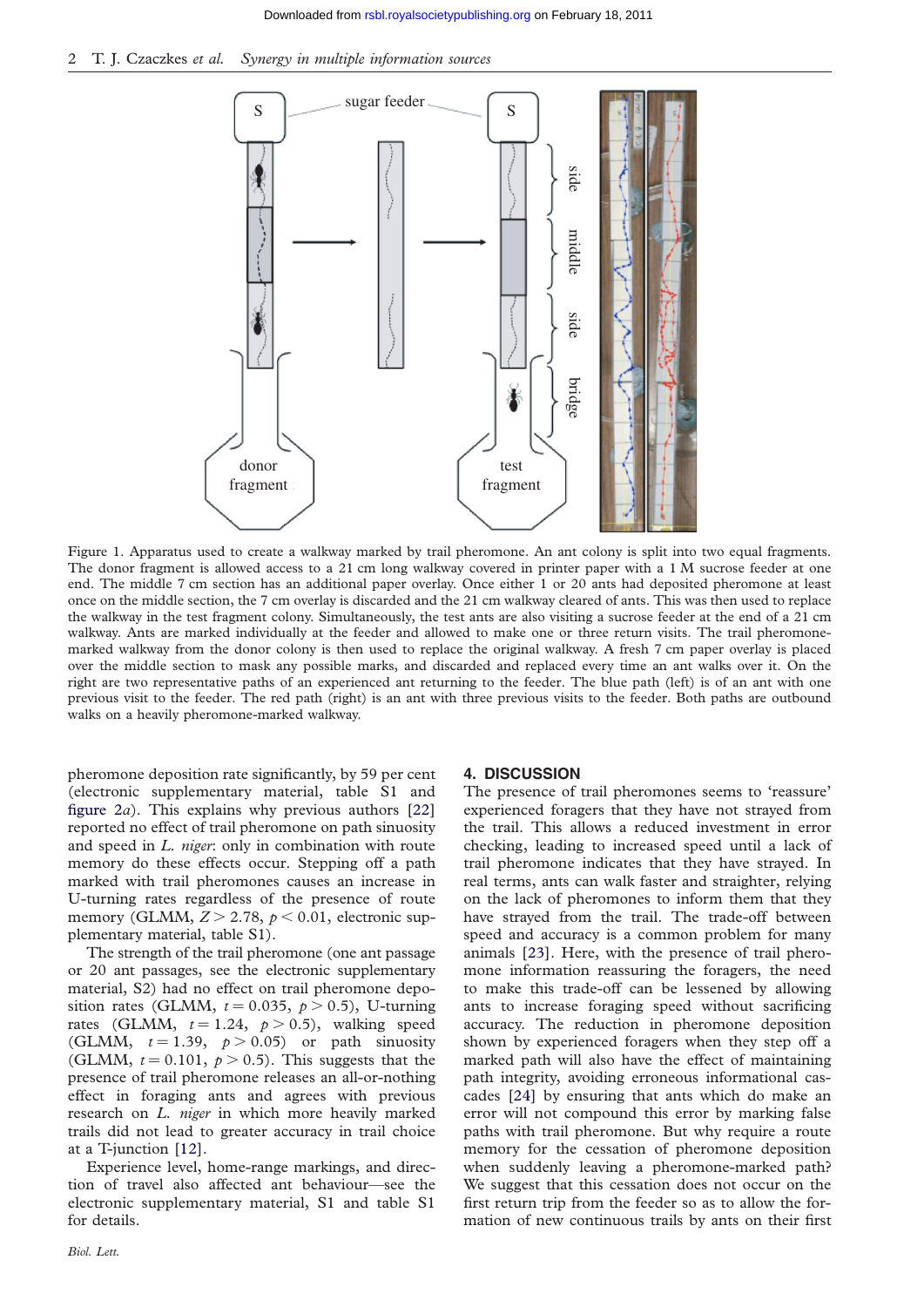<span id="page-2-0"></span>



Figure 1. Apparatus used to create a walkway marked by trail pheromone. An ant colony is split into two equal fragments. The donor fragment is allowed access to a 21 cm long walkway covered in printer paper with a 1 M sucrose feeder at one end. The middle 7 cm section has an additional paper overlay. Once either 1 or 20 ants had deposited pheromone at least once on the middle section, the 7 cm overlay is discarded and the 21 cm walkway cleared of ants. This was then used to replace the walkway in the test fragment colony. Simultaneously, the test ants are also visiting a sucrose feeder at the end of a 21 cm walkway. Ants are marked individually at the feeder and allowed to make one or three return visits. The trail pheromonemarked walkway from the donor colony is then used to replace the original walkway. A fresh 7 cm paper overlay is placed over the middle section to mask any possible marks, and discarded and replaced every time an ant walks over it. On the right are two representative paths of an experienced ant returning to the feeder. The blue path (left) is of an ant with one previous visit to the feeder. The red path (right) is an ant with three previous visits to the feeder. Both paths are outbound walks on a heavily pheromone-marked walkway.

pheromone deposition rate significantly, by 59 per cent (electronic supplementary material, table S1 and figure  $2a$ ). This explains why previous authors [[22](#page-4-0)] reported no effect of trail pheromone on path sinuosity and speed in *L. niger*: only in combination with route memory do these effects occur. Stepping off a path marked with trail pheromones causes an increase in U-turning rates regardless of the presence of route memory (GLMM,  $Z > 2.78$ ,  $p < 0.01$ , electronic supplementary material, table S1).

The strength of the trail pheromone (one ant passage or 20 ant passages, see the electronic supplementary material, S2) had no effect on trail pheromone deposition rates (GLMM,  $t = 0.035$ ,  $p > 0.5$ ), U-turning rates (GLMM,  $t = 1.24$ ,  $p > 0.5$ ), walking speed (GLMM,  $t = 1.39$ ,  $p > 0.05$ ) or path sinuosity (GLMM,  $t = 0.101$ ,  $p > 0.5$ ). This suggests that the presence of trail pheromone releases an all-or-nothing effect in foraging ants and agrees with previous research on L. niger in which more heavily marked trails did not lead to greater accuracy in trail choice at a T-junction [[12\]](#page-3-0).

Experience level, home-range markings, and direction of travel also affected ant behaviour—see the electronic supplementary material, S1 and table S1 for details.

#### 4. DISCUSSION

The presence of trail pheromones seems to 'reassure' experienced foragers that they have not strayed from the trail. This allows a reduced investment in error checking, leading to increased speed until a lack of trail pheromone indicates that they have strayed. In real terms, ants can walk faster and straighter, relying on the lack of pheromones to inform them that they have strayed from the trail. The trade-off between speed and accuracy is a common problem for many animals [[23](#page-4-0)]. Here, with the presence of trail pheromone information reassuring the foragers, the need to make this trade-off can be lessened by allowing ants to increase foraging speed without sacrificing accuracy. The reduction in pheromone deposition shown by experienced foragers when they step off a marked path will also have the effect of maintaining path integrity, avoiding erroneous informational cascades [[24](#page-4-0)] by ensuring that ants which do make an error will not compound this error by marking false paths with trail pheromone. But why require a route memory for the cessation of pheromone deposition when suddenly leaving a pheromone-marked path? We suggest that this cessation does not occur on the first return trip from the feeder so as to allow the formation of new continuous trails by ants on their first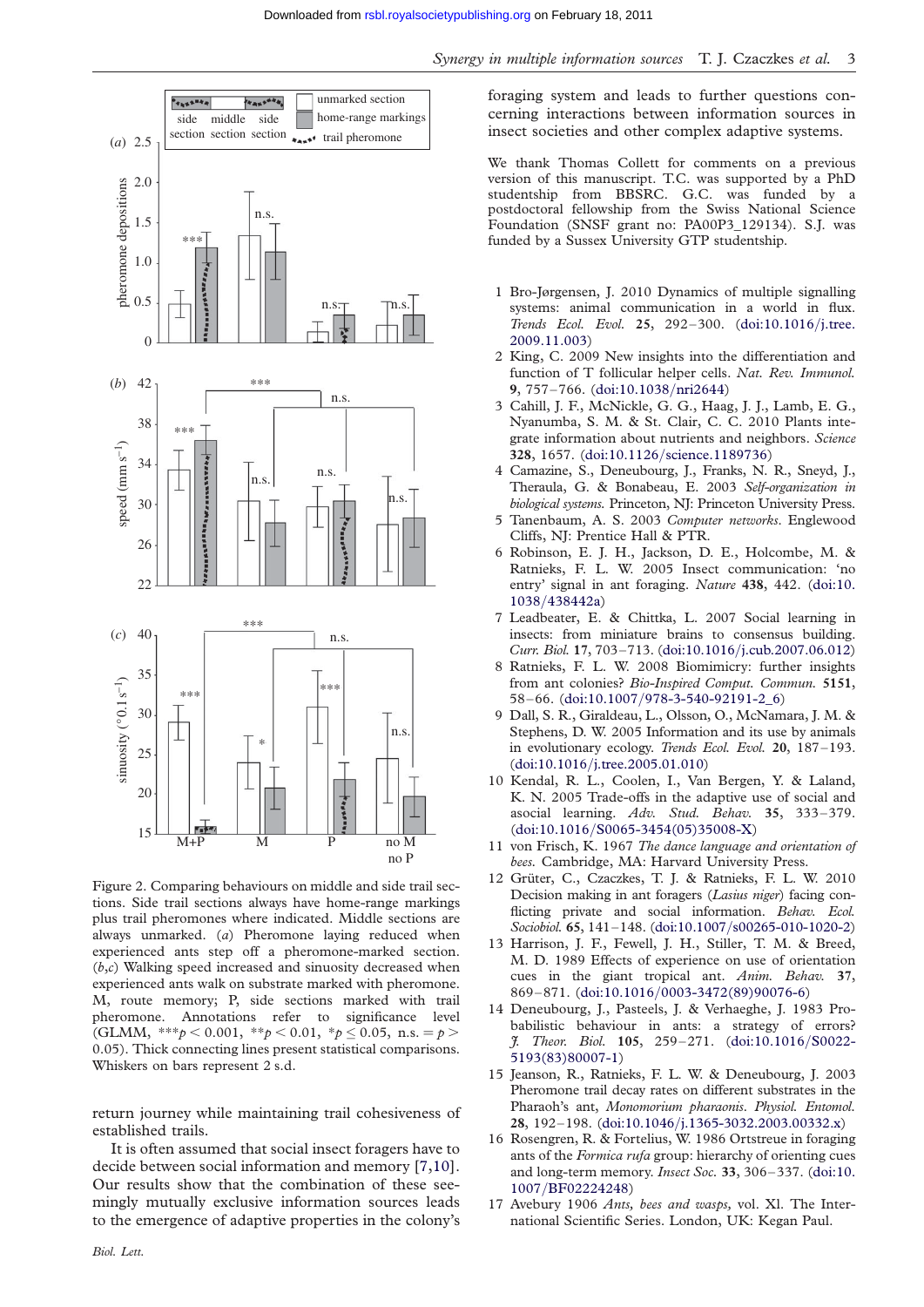<span id="page-3-0"></span>

Figure 2. Comparing behaviours on middle and side trail sections. Side trail sections always have home-range markings plus trail pheromones where indicated. Middle sections are always unmarked. (a) Pheromone laying reduced when experienced ants step off a pheromone-marked section.  $(b,c)$  Walking speed increased and sinuosity decreased when experienced ants walk on substrate marked with pheromone. M, route memory; P, side sections marked with trail pheromone. Annotations refer to significance level (GLMM, \*\*\* $p < 0.001$ , \*\* $p < 0.01$ , \* $p \le 0.05$ , n.s. =  $p >$ 0.05). Thick connecting lines present statistical comparisons. Whiskers on bars represent 2 s.d.

return journey while maintaining trail cohesiveness of established trails.

It is often assumed that social insect foragers have to decide between social information and memory [7,10]. Our results show that the combination of these seemingly mutually exclusive information sources leads to the emergence of adaptive properties in the colony's

foraging system and leads to further questions concerning interactions between information sources in insect societies and other complex adaptive systems.

We thank Thomas Collett for comments on a previous version of this manuscript. T.C. was supported by a PhD studentship from BBSRC. G.C. was funded by a postdoctoral fellowship from the Swiss National Science Foundation (SNSF grant no: PA00P3\_129134). S.J. was funded by a Sussex University GTP studentship.

- 1 Bro-Jørgensen, J. 2010 Dynamics of multiple signalling systems: animal communication in a world in flux. Trends Ecol. Evol. 25, 292–300. [\(doi:10.1016](http://dx.doi.org/10.1016/j.tree.2009.11.003)/j.tree. [2009.11.003](http://dx.doi.org/10.1016/j.tree.2009.11.003))
- 2 King, C. 2009 New insights into the differentiation and function of T follicular helper cells. Nat. Rev. Immunol. 9, 757–766. ([doi:10.1038](http://dx.doi.org/10.1038/nri2644)/nri2644)
- 3 Cahill, J. F., McNickle, G. G., Haag, J. J., Lamb, E. G., Nyanumba, S. M. & St. Clair, C. C. 2010 Plants integrate information about nutrients and neighbors. Science 328, 1657. (doi:10.1126/[science.1189736](http://dx.doi.org/10.1126/science.1189736))
- 4 Camazine, S., Deneubourg, J., Franks, N. R., Sneyd, J., Theraula, G. & Bonabeau, E. 2003 Self-organization in biological systems. Princeton, NJ: Princeton University Press.
- 5 Tanenbaum, A. S. 2003 Computer networks. Englewood Cliffs, NJ: Prentice Hall & PTR.
- 6 Robinson, E. J. H., Jackson, D. E., Holcombe, M. & Ratnieks, F. L. W. 2005 Insect communication: 'no entry' signal in ant foraging. Nature 438, 442. ([doi:10.](http://dx.doi.org/10.1038/438442a) 1038/[438442a\)](http://dx.doi.org/10.1038/438442a)
- 7 Leadbeater, E. & Chittka, L. 2007 Social learning in insects: from miniature brains to consensus building. Curr. Biol. 17, 703–713. (doi:10.1016/[j.cub.2007.06.012](http://dx.doi.org/10.1016/j.cub.2007.06.012))
- 8 Ratnieks, F. L. W. 2008 Biomimicry: further insights from ant colonies? Bio-Inspired Comput. Commun. 5151, 58–66. (doi:10.1007/[978-3-540-92191-2\\_6\)](http://dx.doi.org/10.1007/978-3-540-92191-2_6)
- 9 Dall, S. R., Giraldeau, L., Olsson, O., McNamara, J. M. & Stephens, D. W. 2005 Information and its use by animals in evolutionary ecology. Trends Ecol. Evol. 20, 187-193. (doi:10.1016/[j.tree.2005.01.010](http://dx.doi.org/10.1016/j.tree.2005.01.010))
- 10 Kendal, R. L., Coolen, I., Van Bergen, Y. & Laland, K. N. 2005 Trade-offs in the adaptive use of social and asocial learning. Adv. Stud. Behav. 35, 333–379. (doi:10.1016/[S0065-3454\(05\)35008-X\)](http://dx.doi.org/10.1016/S0065-3454(05)35008-X)
- 11 von Frisch, K. 1967 The dance language and orientation of bees. Cambridge, MA: Harvard University Press.
- 12 Grüter, C., Czaczkes, T. J. & Ratnieks, F. L. W. 2010 Decision making in ant foragers (Lasius niger) facing conflicting private and social information. Behav. Ecol. Sociobiol. 65, 141–148. (doi:10.1007/[s00265-010-1020-2](http://dx.doi.org/10.1007/s00265-010-1020-2))
- 13 Harrison, J. F., Fewell, J. H., Stiller, T. M. & Breed, M. D. 1989 Effects of experience on use of orientation cues in the giant tropical ant. Anim. Behav. 37, 869–871. (doi:10.1016/[0003-3472\(89\)90076-6](http://dx.doi.org/10.1016/0003-3472(89)90076-6))
- 14 Deneubourg, J., Pasteels, J. & Verhaeghe, J. 1983 Probabilistic behaviour in ants: a strategy of errors? J. Theor. Biol. 105, 259–271. [\(doi:10.1016](http://dx.doi.org/10.1016/S0022-5193(83)80007-1)/S0022- [5193\(83\)80007-1\)](http://dx.doi.org/10.1016/S0022-5193(83)80007-1)
- 15 Jeanson, R., Ratnieks, F. L. W. & Deneubourg, J. 2003 Pheromone trail decay rates on different substrates in the Pharaoh's ant, Monomorium pharaonis. Physiol. Entomol. 28, 192–198. (doi:10.1046/[j.1365-3032.2003.00332.x\)](http://dx.doi.org/10.1046/j.1365-3032.2003.00332.x)
- 16 Rosengren, R. & Fortelius, W. 1986 Ortstreue in foraging ants of the *Formica rufa* group: hierarchy of orienting cues and long-term memory. Insect Soc. 33, 306–337. ([doi:10.](http://dx.doi.org/10.1007/BF02224248) 1007/[BF02224248](http://dx.doi.org/10.1007/BF02224248))
- 17 Avebury 1906 Ants, bees and wasps, vol. Xl. The International Scientific Series. London, UK: Kegan Paul.